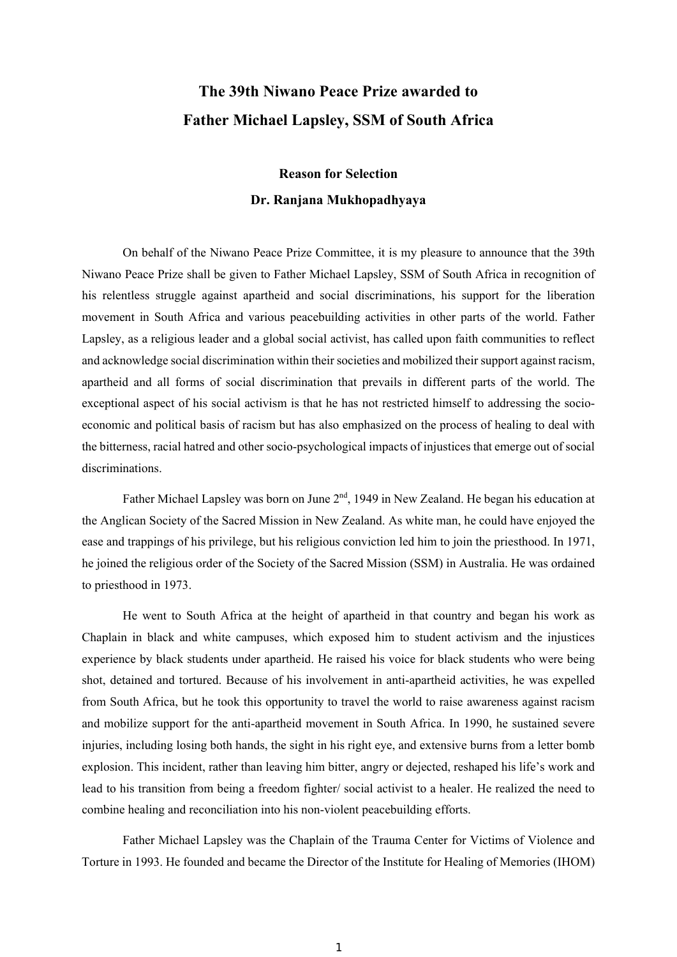## **The 39th Niwano Peace Prize awarded to Father Michael Lapsley, SSM of South Africa**

## **Reason for Selection Dr. Ranjana Mukhopadhyaya**

On behalf of the Niwano Peace Prize Committee, it is my pleasure to announce that the 39th Niwano Peace Prize shall be given to Father Michael Lapsley, SSM of South Africa in recognition of his relentless struggle against apartheid and social discriminations, his support for the liberation movement in South Africa and various peacebuilding activities in other parts of the world. Father Lapsley, as a religious leader and a global social activist, has called upon faith communities to reflect and acknowledge social discrimination within their societies and mobilized their support against racism, apartheid and all forms of social discrimination that prevails in different parts of the world. The exceptional aspect of his social activism is that he has not restricted himself to addressing the socioeconomic and political basis of racism but has also emphasized on the process of healing to deal with the bitterness, racial hatred and other socio-psychological impacts of injustices that emerge out of social discriminations.

Father Michael Lapsley was born on June  $2<sup>nd</sup>$ , 1949 in New Zealand. He began his education at the Anglican Society of the Sacred Mission in New Zealand. As white man, he could have enjoyed the ease and trappings of his privilege, but his religious conviction led him to join the priesthood. In 1971, he joined the religious order of the Society of the Sacred Mission (SSM) in Australia. He was ordained to priesthood in 1973.

He went to South Africa at the height of apartheid in that country and began his work as Chaplain in black and white campuses, which exposed him to student activism and the injustices experience by black students under apartheid. He raised his voice for black students who were being shot, detained and tortured. Because of his involvement in anti-apartheid activities, he was expelled from South Africa, but he took this opportunity to travel the world to raise awareness against racism and mobilize support for the anti-apartheid movement in South Africa. In 1990, he sustained severe injuries, including losing both hands, the sight in his right eye, and extensive burns from a letter bomb explosion. This incident, rather than leaving him bitter, angry or dejected, reshaped his life's work and lead to his transition from being a freedom fighter/ social activist to a healer. He realized the need to combine healing and reconciliation into his non-violent peacebuilding efforts.

Father Michael Lapsley was the Chaplain of the Trauma Center for Victims of Violence and Torture in 1993. He founded and became the Director of the Institute for Healing of Memories (IHOM)